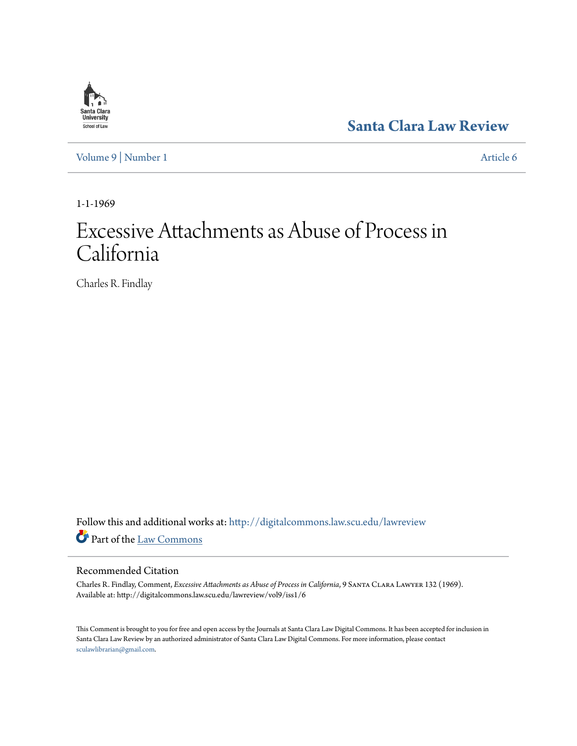

**[Santa Clara Law Review](http://digitalcommons.law.scu.edu/lawreview?utm_source=digitalcommons.law.scu.edu%2Flawreview%2Fvol9%2Fiss1%2F6&utm_medium=PDF&utm_campaign=PDFCoverPages)**

[Volume 9](http://digitalcommons.law.scu.edu/lawreview/vol9?utm_source=digitalcommons.law.scu.edu%2Flawreview%2Fvol9%2Fiss1%2F6&utm_medium=PDF&utm_campaign=PDFCoverPages) | [Number 1](http://digitalcommons.law.scu.edu/lawreview/vol9/iss1?utm_source=digitalcommons.law.scu.edu%2Flawreview%2Fvol9%2Fiss1%2F6&utm_medium=PDF&utm_campaign=PDFCoverPages) [Article 6](http://digitalcommons.law.scu.edu/lawreview/vol9/iss1/6?utm_source=digitalcommons.law.scu.edu%2Flawreview%2Fvol9%2Fiss1%2F6&utm_medium=PDF&utm_campaign=PDFCoverPages)

1-1-1969

# Excessive Attachments as Abuse of Process in California

Charles R. Findlay

Follow this and additional works at: [http://digitalcommons.law.scu.edu/lawreview](http://digitalcommons.law.scu.edu/lawreview?utm_source=digitalcommons.law.scu.edu%2Flawreview%2Fvol9%2Fiss1%2F6&utm_medium=PDF&utm_campaign=PDFCoverPages) Part of the [Law Commons](http://network.bepress.com/hgg/discipline/578?utm_source=digitalcommons.law.scu.edu%2Flawreview%2Fvol9%2Fiss1%2F6&utm_medium=PDF&utm_campaign=PDFCoverPages)

# Recommended Citation

Charles R. Findlay, Comment, *Excessive Attachments as Abuse of Process in California*, 9 Santa Clara Lawyer 132 (1969). Available at: http://digitalcommons.law.scu.edu/lawreview/vol9/iss1/6

This Comment is brought to you for free and open access by the Journals at Santa Clara Law Digital Commons. It has been accepted for inclusion in Santa Clara Law Review by an authorized administrator of Santa Clara Law Digital Commons. For more information, please contact [sculawlibrarian@gmail.com](mailto:sculawlibrarian@gmail.com).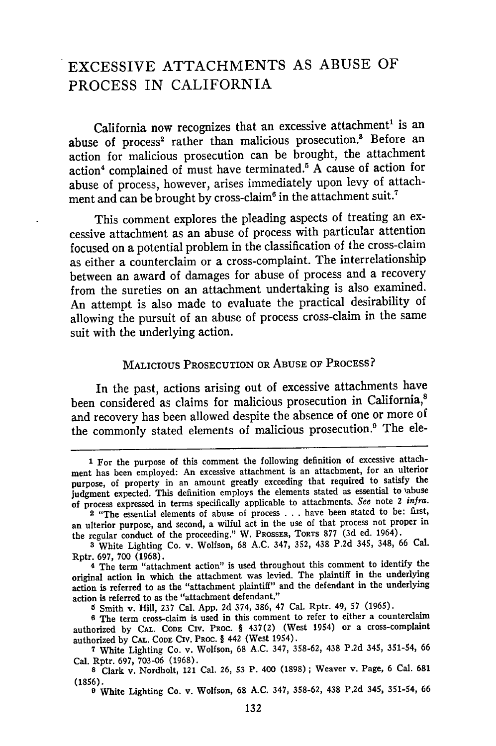# EXCESSIVE **ATTACHMENTS AS ABUSE** OF **PROCESS** IN CALIFORNIA

California now recognizes that an excessive attachment' is an abuse of process<sup>2</sup> rather than malicious prosecution.<sup>3</sup> Before an action for malicious prosecution can be brought, the attachment action<sup>4</sup> complained of must have terminated.<sup>5</sup> A cause of action for abuse of process, however, arises immediately upon levy of attachment and can be brought by cross-claim<sup>6</sup> in the attachment suit.<sup>7</sup>

This comment explores the pleading aspects of treating an excessive attachment as an abuse of process with particular attention focused on a potential problem in the classification of the cross-claim as either a counterclaim or a cross-complaint. The interrelationship between an award of damages for abuse of process and a recovery from the sureties on an attachment undertaking is also examined. An attempt is also made to evaluate the practical desirability of allowing the pursuit of an abuse of process cross-claim in the same suit with the underlying action.

# MALICIOUS PROSECUTION OR ABUSE OF PROCESS?

In the past, actions arising out of excessive attachments have been considered as claims for malicious prosecution in California,<sup>8</sup> and recovery has been allowed despite the absence of one or more of the commonly stated elements of malicious prosecution.<sup>9</sup> The ele-

**<sup>1</sup>** For the purpose of this comment the following definition of excessive attachment has been employed: An excessive attachment is an attachment, for an ulterior purpose, of property in an amount greatly exceeding that required to satisfy the judgment expected. This definition employs the elements stated as essential to abuse of process expressed in terms specifically applicable to attachments. *See* note 2 *infra.*

**<sup>2</sup>** "The essential elements of abuse of process . . . have been stated to be: first, an ulterior purpose, and second, a wilful act in the use of that process not proper in the regular conduct of the proceeding." W. PROSSER, TORTS **877 (3d ed.** 1964).

**<sup>3</sup>** White Lighting Co. v. Wolfson, 68 A.C. 347, **352,** 438 **P.2d** 345, 348, 66 Cal. Rptr. 697, **700** (1968).

<sup>4</sup> The term "attachment action" is used throughout this comment to identify the original action in which the attachment was levied. The plaintiff in the underlying action is referred to as the "attachment plaintiff" and the defendant in the underlying action is referred to as the "attachment defendant."

**<sup>5</sup>**Smith v. **Hill, 237** Cal. App. **2d** 374, 386, 47 Cal. Rptr. 49, **57** (1965).

**<sup>6</sup>**The term cross-claim is used in this comment to refer to either a counterclaim authorized **by** CAL. **CODE** CIv. **PROC.** § 437(2) (West 1954) or a cross-complaint authorized **by** CAL. **CODE** CIV. PROC. § 442 (West 1954).

**<sup>7</sup>** White Lighting Co. v. Wolfson, 68 A.C. 347, **358-62,** 438 **P.2d** 345, **351-54,** <sup>66</sup> Cal. Rptr. 697, **703-06** (1968).

**<sup>8</sup>** Clark v. Nordholt, 121 Cal. **26, 53** P. 400 (1898) **;** Weaver v. Page, 6 Cal. **681** (1856).

**<sup>9</sup>** White Lighting Co. v. Wolfson, 68 A.C. 347, **358-62,** 438 **P.2d** 345, **351-54,** <sup>66</sup>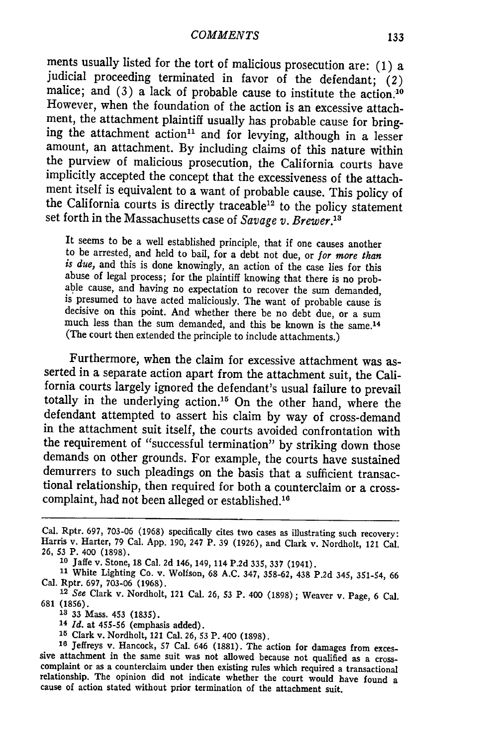ments usually listed for the tort of malicious prosecution are: (1) a judicial proceeding terminated in favor of the defendant; *(2)* malice; and (3) a lack of probable cause to institute the action.10 However, when the foundation of the action is an excessive attachment, the attachment plaintiff usually has probable cause for bring- ing the attachment action<sup>11</sup> and for levying, although in a lesser amount, an attachment. By including claims of this nature within the purview of malicious prosecution, the California courts have implicitly accepted the concept that the excessiveness of the attachment itself is equivalent to a want of probable cause. This policy of the California courts is directly traceable<sup>12</sup> to the policy statement set forth in the Massachusetts case of *Savage v. Brewer."*

It seems to be a well established principle, that if one causes another to be arrested, and held to bail, for a debt not due, or *for more than* is due, and this is done knowingly, an action of the case lies for this<br>abuse of legal process; for the plaintiff knowing that there is no prob-<br>able cause, and having no expectation to recover the sum demanded,<br>is presume much less than the sum demanded, and this be known is the same.14 (The court then extended the principle to include attachments.)

Furthermore, when the claim for excessive attachment was asserted in a separate action apart from the attachment suit, the Calitotally in the underlying action.<sup>15</sup> On the other hand, where the defendant attempted to assert his claim by way of cross-demand in the attachment suit itself, the courts avoided confrontation with the requirement of "successful termination" by striking down those demands on other grounds. For example, the courts have sustained demurrers to such pleadings on the basis that a sufficient transactional relationship, then required for both a counterclaim or a crosscomplaint, had not been alleged or established.'

**<sup>10</sup>**Jaffe v. Stone, 18 Cal. 2d 146, 149, 114 P.2d 335, 337 (1941). **<sup>11</sup>**White Lighting Co. v. Wolfson, 68 A.C. 347, **358-62,** 438 P.2d 345, 351-54, 66 Cal. Rptr. 697, 703-06 (1968).

**<sup>12</sup>***See* Clark v. Nordholt, 121 Cal. **26, 53** P. 400 (1898) ; Weaver v. Page, 6 Cal. 681 (1856).

**13** 33 Mass. 453 (1835).

**<sup>14</sup>***Id.* at 455-56 (emphasis added).

<sup>16</sup> Jeffreys v. Hancock, 57 Cal. 646 (1881). The action for damages from excessive attachment in the same suit was not allowed because not qualified as a cross-complaint or as a counterclaim under then existing rules whi

Cal. Rptr. 697, **703-06** (1968) specifically cites two cases as illustrating such recovery: Harris v. Harter, 79 Cal. App. 190, 247 P. 39 (1926), and Clark v. Nordholt, 121 Cal. 26, **53** P. 400 (1898).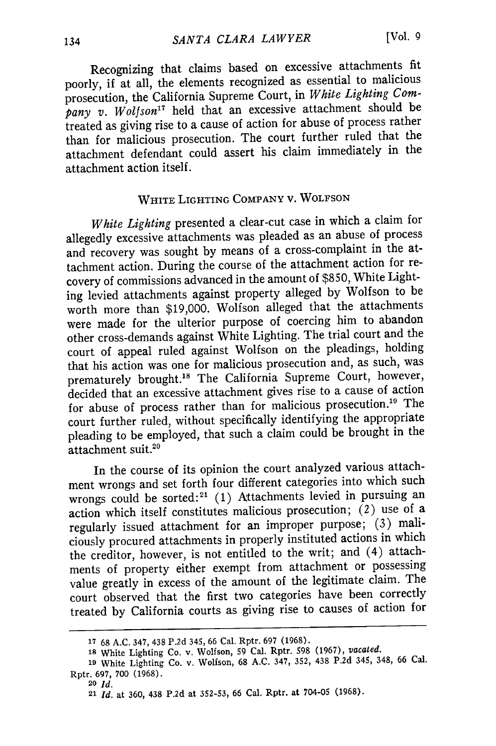Recognizing that claims based on excessive attachments fit poorly, if at all, the elements recognized as essential to malicious prosecution, the California Supreme Court, in *White Lighting Com*pany v. Wolfson<sup>17</sup> held that an excessive attachment should be treated as giving rise to a cause of action for abuse of process rather than for malicious prosecution. The court further ruled that the attachment defendant could assert his claim immediately in the attachment action itself.

# WHITE LIGHTING COMPANY V. WOLFSON

*White Lighting* presented a clear-cut case in which a claim for allegedly excessive attachments was pleaded as an abuse of process and recovery was sought **by** means of a cross-complaint in the attachment action. During the course of the attachment action for recovery of commissions advanced in the amount of \$850, White Lighting levied attachments against property alleged **by** Wolfson to be worth more than \$19,000. Wolfson alleged that the attachments were made for the ulterior purpose of coercing him to abandon other cross-demands against White Lighting. The trial court and the court of appeal ruled against Wolfson on the pleadings, holding that his action was one for malicious prosecution and, as such, was prematurely brought.<sup>18</sup> The California Supreme Court, however, decided that an excessive attachment gives rise to a cause of action for abuse of process rather than for malicious prosecution.<sup>19</sup> The court further ruled, without specifically identifying the appropriate pleading to be employed, that such a claim could be brought in the attachment suit.<sup>20</sup>

In the course of its opinion the court analyzed various attachment wrongs and set forth four different categories into which such wrongs could be sorted:<sup>21</sup> (1) Attachments levied in pursuing an action which itself constitutes malicious prosecution; (2) use of a regularly issued attachment for an improper purpose; (3) maliciously procured attachments in properly instituted actions in which the creditor, however, is not entitled to the writ; and (4) attachments of property either exempt from attachment or possessing value greatly in excess of the amount of the legitimate claim. The court observed that the first two categories have been correctly treated by California courts as giving rise to causes of action for

**20** *Id.*

**<sup>17</sup>**68 A.C. 347, 438 P.2d 345, 66 Cal. Rptr. 697 (1968).

**<sup>18</sup>**White Lighting Co. v. Wolfson, 59 Cal. Rptr. 598 (1967), *vacated.*

**<sup>19</sup>**White Lighting Co. v. Wolfson, 68 A.C. 347, 352, 438 P.2d 345, 348, 66 Cal. Rptr. 697, **700** (1968).

<sup>21</sup>*Id.* at 360, 438 P.2d at 352-53, **66** Cal. Rptr. at 704-05 (1968).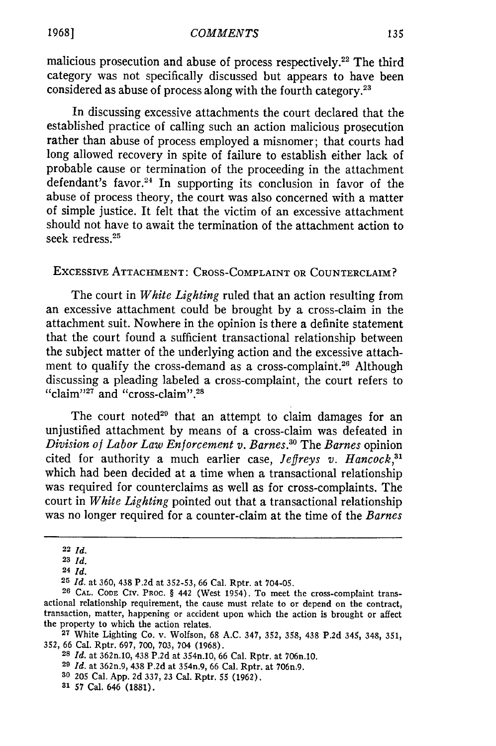malicious prosecution and abuse of process respectively.<sup>22</sup> The third category was not specifically discussed but appears to have been considered as abuse of process along with the fourth category.<sup>23</sup>

In discussing excessive attachments the court declared that the established practice of calling such an action malicious prosecution rather than abuse of process employed a misnomer; that courts had long allowed recovery in spite of failure to establish either lack of probable cause or termination of the proceeding in the attachment defendant's favor.<sup>24</sup> In supporting its conclusion in favor of the abuse of process theory, the court was also concerned with a matter of simple justice. It felt that the victim of an excessive attachment should not have to await the termination of the attachment action to seek redress.<sup>25</sup>

### EXCESSIVE ATTACHMENT: CROSS-COMPLAINT OR COUNTERCLAIM?

The court in *White Lighting* ruled that an action resulting from an excessive attachment could be brought by a cross-claim in the attachment suit. Nowhere in the opinion is there a definite statement that the court found a sufficient transactional relationship between the subject matter of the underlying action and the excessive attachment to qualify the cross-demand as a cross-complaint.<sup>26</sup> Although discussing a pleading labeled a cross-complaint, the court refers to "claim"<sup>27</sup> and "cross-claim".<sup>28</sup>

The court noted<sup>29</sup> that an attempt to claim damages for an unjustified attachment by means of a cross-claim was defeated in *Division of Labor Law Enforcement v. Barnes. °* The *Barnes* opinion cited for authority a much earlier case, *Jeffreys v. Hancock*,<sup>31</sup> which had been decided at a time when a transactional relationship was required for counterclaims as well as for cross-complaints. The court in *White Lighting* pointed out that a transactional relationship was no longer required for a counter-claim at the time of the *Barnes*

**<sup>22</sup>** *Id.*

**<sup>23</sup>** *Id.*

**<sup>24</sup>** *Id.*

**<sup>25</sup>** *Id.* at **360,** 438 **P.2d** at **352-53,** 66 Cal. Rptr. at 704-05.

**<sup>26</sup> CAL. CODE** CIV. **PROC.** *§* 442 (West 1954). To meet the cross-complaint transactional relationship requirement, the cause must relate to or depend on the contract, transaction, matter, happening or accident upon which the action is brought or affect the property to which the action relates.

**<sup>27</sup>**White Lighting Co. v. Wolfson, **68 A.C.** 347, **352, 358,** 438 **P.2d** 345, 348, **351,** 352, 66 Cal. Rptr. **697, 700, 703,** 704 **(1968). <sup>28</sup>***Id.* at 362n.10, 438 **P.2d** at 354n.10, 66 Cal. Rptr. at 706n.10.

**<sup>29</sup>***Id.* at 362n.9, 438 **P.2d** at 354n.9, 66 Cal. Rptr. at 706n.9.

**<sup>30 205</sup>** Cal. **App. 2d** 337, **23** Cal. Rptr. **55 (1962).**

**<sup>31 57</sup>** Cal. 646 **(1881).**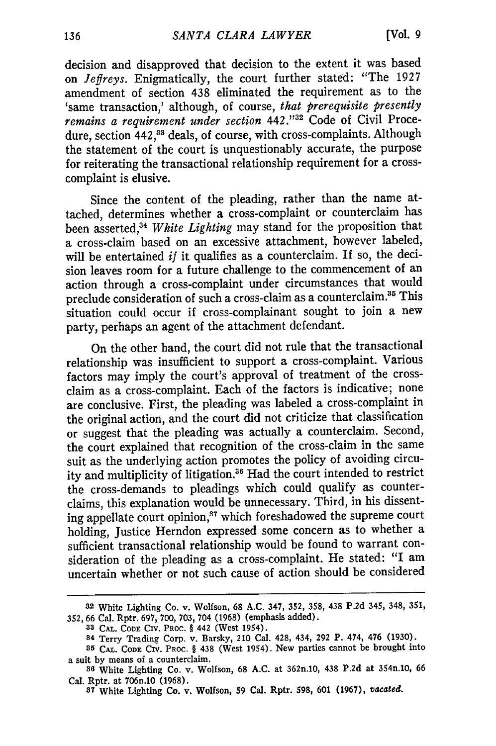decision and disapproved that decision to the extent it was based on *Jeffreys.* Enigmatically, the court further stated: "The 1927 amendment of section 438 eliminated the requirement as to the 'same transaction,' although, of course, *that prerequisite presently remains a requirement under section*  $442.^{132}$  Code of Civil Procedure, section 442,<sup>33</sup> deals, of course, with cross-complaints. Although the statement of the court is unquestionably accurate, the purpose for reiterating the transactional relationship requirement for a crosscomplaint is elusive.

Since the content of the pleading, rather than the name attached, determines whether a cross-complaint or counterclaim has been asserted,34 *White Lighting* may stand for the proposition that a cross-claim based on an excessive attachment, however labeled, will be entertained *if* it qualifies as a counterclaim. If so, the decision leaves room for a future challenge to the commencement of an action through a cross-complaint under circumstances that would preclude consideration of such a cross-claim as a counterclaim.<sup>35</sup> This situation could occur if cross-complainant sought to join a new party, perhaps an agent of the attachment defendant.

On the other hand, the court did not rule that the transactional relationship was insufficient to support a cross-complaint. Various factors may imply the court's approval of treatment of the crossclaim as a cross-complaint. Each of the factors is indicative; none are conclusive. First, the pleading was labeled a cross-complaint in the original action, and the court did not criticize that classification or suggest that the pleading was actually a counterclaim. Second, the court explained that recognition of the cross-claim in the same suit as the underlying action promotes the policy of avoiding circuity and multiplicity of litigation.<sup>36</sup> Had the court intended to restrict the cross-demands to pleadings which could qualify as counterclaims, this explanation would be unnecessary. Third, in his dissenting appellate court opinion,<sup>37</sup> which foreshadowed the supreme court holding, Justice Herndon expressed some concern as to whether a sufficient transactional relationship would be found to warrant consideration of the pleading as a cross-complaint. He stated: "I am uncertain whether or not such cause of action should be considered

**<sup>32</sup>**White **Lighting Co. v.** Wolfson, **68 A.C. 347, 352, 358, 438 P.2d 345, 348, 351, 352, 66 Cal. Rptr. 697, 700, 703, 704 (1968)** (emphasis **added).**

**<sup>33</sup> CAL. CODE** CIV. **PROC.** § **442** (West 1954).

**<sup>84</sup> Terry** Trading Corp. v. **Barsky,** 210 Cal. **428, 434, 292 P. 474, 476 (1930).**

**<sup>85</sup> CAL. CODE** CIv. PROC. § **438** (West **1954). New** parties cannot be **brought** into a suit **by** means of a counterclaim.

**<sup>36</sup>**White Lighting **Co. v.** Wolfson, **68 A.C. at** 362n.10, **438 P.2d at** 354n.10, **<sup>66</sup>** Cal. **Rptr.** at 706n.10 **(1968).**

**<sup>87</sup> White Lighting Co. v. Wolfson, 59 Cal. Rptr. 598, 601 (1967),** vacated.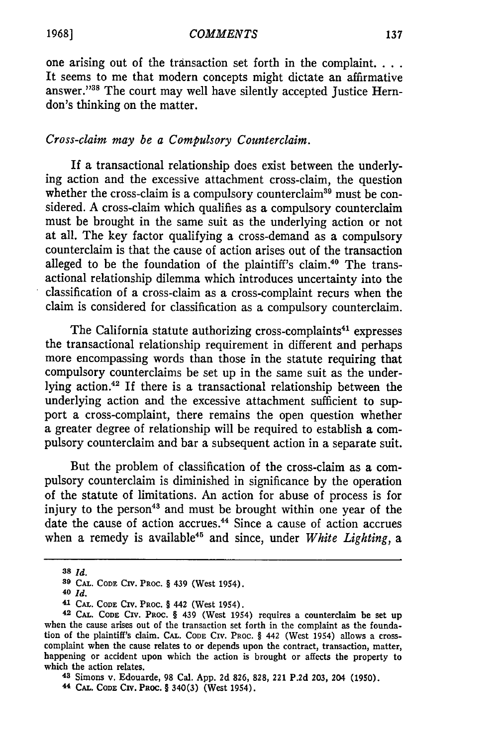one arising out of the transaction set forth in the complaint... It seems to me that modern concepts might dictate an affirmative answer."<sup>38</sup> The court may well have silently accepted Justice Herndon's thinking on the matter.

#### *Cross-claim may be a Compulsory Counterclaim.*

If a transactional relationship does exist between the underlying action and the excessive attachment cross-claim, the question whether the cross-claim is a compulsory counterclaim<sup>39</sup> must be considered. A cross-claim which qualifies as a compulsory counterclaim must be brought in the same suit as the underlying action or not at all. The key factor qualifying a cross-demand as a compulsory counterclaim is that the cause of action arises out of the transaction alleged to be the foundation of the plaintiff's claim.<sup>40</sup> The transactional relationship dilemma which introduces uncertainty into the classification of a cross-claim as a cross-complaint recurs when the claim is considered for classification as a compulsory counterclaim.

The California statute authorizing cross-complaints<sup>41</sup> expresses the transactional relationship requirement in different and perhaps more encompassing words than those in the statute requiring that compulsory counterclaims be set up in the same suit as the underlying action.42 If there is a transactional relationship between the underlying action and the excessive attachment sufficient to support a cross-complaint, there remains the open question whether a greater degree of relationship will be required to establish a compulsory counterclaim and bar a subsequent action in a separate suit.

But the problem of classification of the cross-claim as a compulsory counterclaim is diminished in significance by the operation of the statute of limitations. An action for abuse of process is for injury to the person<sup>43</sup> and must be brought within one year of the date the cause of action accrues.<sup>44</sup> Since a cause of action accrues when a remedy is available<sup>45</sup> and since, under *White Lighting*, a

**44 CAL. CODE** Civ. PROC. § 340(3) (West 1954).

**<sup>38</sup>** *Id.*

**<sup>39</sup> CAL. CODE** CIv. PROC. § 439 (West 1954).

**<sup>40</sup>** *Id.*

**<sup>41</sup> CAL. CODE CIv. PROC.** § 442 (West 1954).

**<sup>42</sup> CAL. CODE CIv. PROC.** § 439 (West 1954) requires a counterclaim be set up when the cause arises out of the transaction set forth in the complaint as the foundation of the plaintiff's claim. CAL. **CODE CIV.** PROC. § 442 (West 1954) allows a crosscomplaint when the cause relates to or depends upon the contract, transaction, matter, happening or accident upon which the action is brought or affects the property to which the action relates.

**<sup>43</sup>**Simons v. Edouarde, 98 Cal. App. 2d 826, 828, 221 P.2d 203, 204 (1950).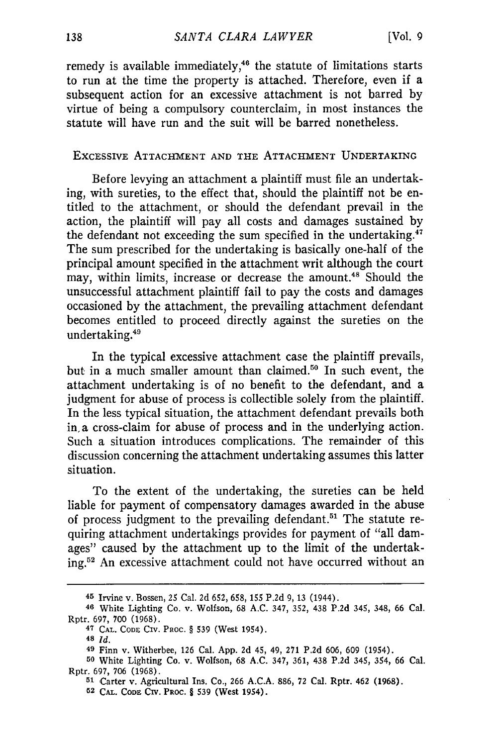remedy is available immediately,<sup>46</sup> the statute of limitations starts to run at the time the property is attached. Therefore, even if a subsequent action for an excessive attachment is not barred by virtue of being a compulsory counterclaim, in most instances the statute will have run and the suit will be barred nonetheless.

#### ExcESSIVE **ATTACHMENT AND** THE **ATTACHMENT UNDERTAKING**

Before levying an attachment a plaintiff must file an undertaking, with sureties, to the effect that, should the plaintiff not be entitled to the attachment, or should the defendant prevail in the action, the plaintiff will pay all costs and damages sustained by the defendant not exceeding the sum specified in the undertaking. $47$ The sum prescribed for the undertaking is basically one-half of the principal amount specified in the attachment writ although the court may, within limits, increase or decrease the amount.48 Should the unsuccessful attachment plaintiff fail to pay the costs and damages occasioned by the attachment, the prevailing attachment defendant becomes entitled to proceed directly against the sureties on the undertaking.<sup>49</sup>

In the typical excessive attachment case the plaintiff prevails, but in a much smaller amount than claimed.<sup>50</sup> In such event, the attachment undertaking is of no benefit to the defendant, and a judgment for abuse of process is collectible solely from the plaintiff. In the less typical situation, the attachment defendant prevails both in, a cross-claim for abuse of process and in the underlying action. Such a situation introduces complications. The remainder of this discussion concerning the attachment undertaking assumes this latter situation.

To the extent of the undertaking, the sureties can be held liable for payment of compensatory damages awarded in the abuse of process judgment to the prevailing defendant.<sup>51</sup> The statute requiring attachment undertakings provides for payment of "all damages" caused by the attachment up to the limit of the undertaking.<sup>52</sup> An excessive attachment could not have occurred without an

**<sup>45</sup>** Irvine v. Bossen, 25 Cal. 2d 652, 658, 155 P.2d 9, 13 (1944).

**<sup>46</sup>** White Lighting Co. v. Wolfson, 68 A.C. 347, 352, 438 P.2d 345, 348, 66 Cal. Rptr. 697, 700 (1968).

**<sup>47</sup> CAL. CODE** CIv. PROC. § 539 (West 1954).

**<sup>48</sup>** *Id.*

**<sup>49</sup>** Finn v. Witherbee, **126** Cal. App. 2d 45, 49, 271 P.2d 606, 609 (1954).

**<sup>50</sup>** White Lighting Co. v. Wolfson, 68 A.C. 347, 361, 438 P.2d 345, 354, 66 Cal. Rptr. **697, 706 (1968).**

**<sup>51</sup>**Carter v. Agricultural Ins. Co., **266 A.C.A. 886, 72** Cal. Rptr. 462 **(1968). 52 CAL. CODE CiV. PROC.** § **539 (West 1954).**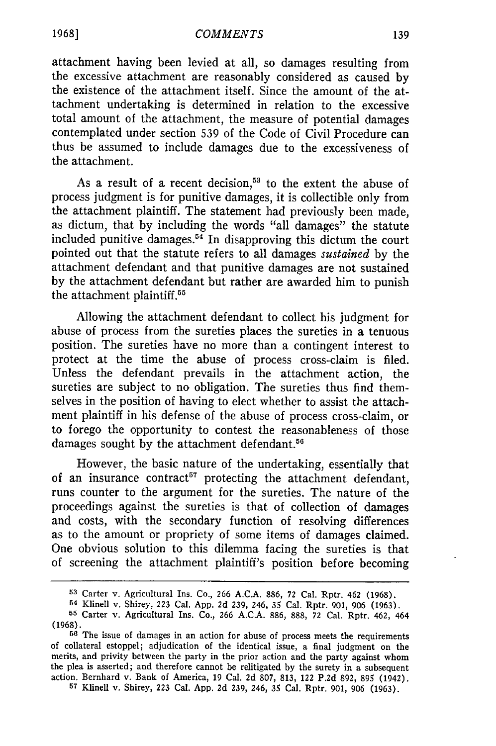attachment having been levied at all, so damages resulting from the excessive attachment are reasonably considered as caused by the existence of the attachment itself. Since the amount of the attachment undertaking is determined in relation to the excessive total amount of the attachment, the measure of potential damages contemplated under section 539 of the Code of Civil Procedure can thus be assumed to include damages due to the excessiveness of the attachment.

As a result of a recent decision,<sup>53</sup> to the extent the abuse of process judgment is for punitive damages, it is collectible only from the attachment plaintiff. The statement had previously been made, as dictum, that by including the words "all damages" the statute included punitive damages.54 In disapproving this dictum the court pointed out that the statute refers to all damages *sustained* by the attachment defendant and that punitive damages are not sustained by the attachment defendant but rather are awarded him to punish the attachment plaintiff.<sup>55</sup>

Allowing the attachment defendant to collect his judgment for abuse of process from the sureties places the sureties in a tenuous position. The sureties have no more than a contingent interest to protect at the time the abuse of process cross-claim is filed. Unless the defendant prevails in the attachment action, the sureties are subject to no obligation. The sureties thus find themselves in the position of having to elect whether to assist the attachment plaintiff in his defense of the abuse of process cross-claim, or to forego the opportunity to contest the reasonableness of those damages sought by the attachment defendant.<sup>56</sup>

However, the basic nature of the undertaking, essentially that of an insurance contract<sup>57</sup> protecting the attachment defendant, runs counter to the argument for the sureties. The nature of the proceedings against the sureties is that of collection of damages and costs, with the secondary function of resolving differences as to the amount or propriety of some items of damages claimed. One obvious solution to this dilemma facing the sureties is that of screening the attachment plaintiff's position before becoming

*<sup>57</sup>*Klinell v. Shirey, 223 Cal. App. **2d 239,** 246, 35 Cal. Rptr. 901, 906 (1963).

**1968]**

**<sup>53</sup>**Carter v. Agricultural Ins. Co., 266 **A.C.A. 886, 72** Cal. Rptr. 462 (1968).

**<sup>54</sup>** Klinell v. Shirey, 223 Cal. App. 2d 239, 246, **35** Cal. Rptr. 901, 906 (1963).

**<sup>55</sup>**Carter v. Agricultural Ins. Co., 266 A.C.A. **886,** 888, 72 Cal. Rptr. 462, 464 (1968).

**<sup>56</sup>**The issue of damages in an action for abuse of process meets the requirements of collateral estoppel; adjudication of the identical issue, a final judgment on the merits, and privity between the party in the prior action and the party against whom the plea is asserted; and therefore cannot be relitigated by the surety in a subsequent action. Bernhard v. Bank of America, 19 Cal. 2d 807, 813, 122 P.2d 892, 895 (1942).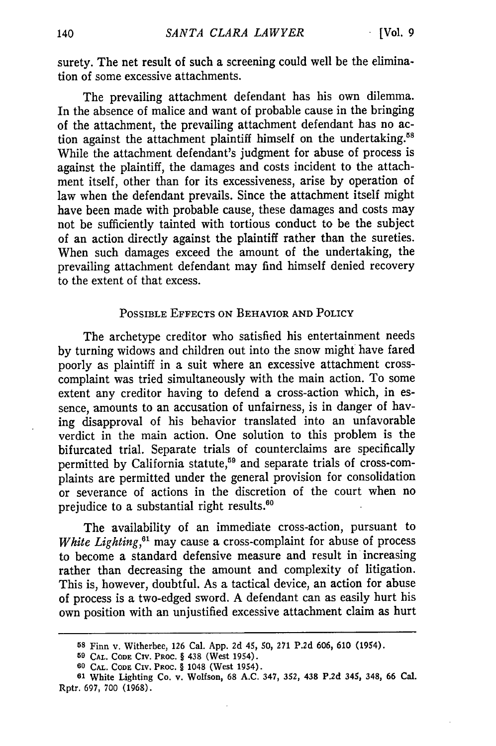surety. The net result of such a screening could well be the elimination of some excessive attachments.

The prevailing attachment defendant has his own dilemma. In the absence of malice and want of probable cause in the bringing of the attachment, the prevailing attachment defendant has no action against the attachment plaintiff himself on the undertaking.<sup>58</sup> While the attachment defendant's judgment for abuse of process is against the plaintiff, the damages and costs incident to the attachment itself, other than for its excessiveness, arise by operation of law when the defendant prevails. Since the attachment itself might have been made with probable cause, these damages and costs may not be sufficiently tainted with tortious conduct to be the subject of an action directly against the plaintiff rather than the sureties. When such damages exceed the amount of the undertaking, the prevailing attachment defendant may find himself denied recovery to the extent of that excess.

#### POSSIBLE EFFECTS ON BEHAVIOR **AND** POLICY

The archetype creditor who satisfied his entertainment needs by turning widows and children out into the snow might have fared poorly as plaintiff in a suit where an excessive attachment crosscomplaint was tried simultaneously with the main action. To some extent any creditor having to defend a cross-action which, in essence, amounts to an accusation of unfairness, is in danger of having disapproval of his behavior translated into an unfavorable verdict in the main action. One solution to this problem is the bifurcated trial. Separate trials of counterclaims are specifically permitted by California statute,<sup>59</sup> and separate trials of cross-complaints are permitted under the general provision for consolidation or severance of actions in the discretion of the court when no prejudice to a substantial right results.<sup>60</sup>

The availability of an immediate cross-action, pursuant to *White Lighting*,<sup>61</sup> may cause a cross-complaint for abuse of process to become a standard defensive measure and result in increasing rather than decreasing the amount and complexity of litigation. This is, however, doubtful. As a tactical device, an action for abuse of process is a two-edged sword. A defendant can as easily hurt his own position with an unjustified excessive attachment claim as hurt

**<sup>58</sup>** Finn v. Witherbee, 126 Cal. App. 2d 45, **50, 271** P.2d 606, 610 (1954).

**<sup>59</sup> CAL. CODE** CIV. PROC. § 438 (West 1954).

**<sup>60</sup> CAL. CODE** CIv. PROC. § 1048 (West 1954).

**<sup>61</sup>** White Lighting Co. **v.** Wolfson, 68 A.C. 347, **352, 438** P.2d 345, 348, 66 Cal. Rptr. 697, 700 (1968).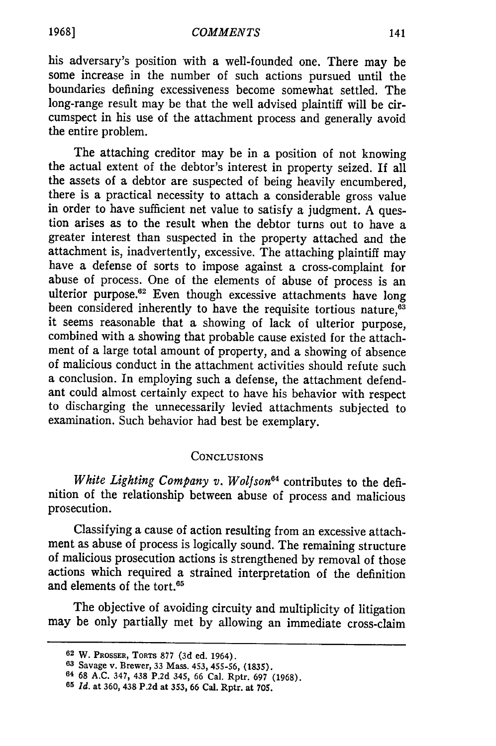his adversary's position with a well-founded one. There may be some increase in the number of such actions pursued until the boundaries defining excessiveness become somewhat settled. The long-range result may be that the well advised plaintiff will be circumspect in his use of the attachment process and generally avoid the entire problem.

The attaching creditor may be in a position of not knowing the actual extent of the debtor's interest in property seized. If all the assets of a debtor are suspected of being heavily encumbered, there is a practical necessity to attach a considerable gross value in order to have sufficient net value to satisfy a judgment. A question arises as to the result when the debtor turns out to have a greater interest than suspected in the property attached and the attachment is, inadvertently, excessive. The attaching plaintiff may have a defense of sorts to impose against a cross-complaint for abuse of process. One of the elements of abuse of process is an ulterior purpose.<sup>62</sup> Even though excessive attachments have long been considered inherently to have the requisite tortious nature,<sup>63</sup> it seems reasonable that a showing of lack of ulterior purpose, combined with a showing that probable cause existed for the attachment of a large total amount of property, and a showing of absence of malicious conduct in the attachment activities should refute such a conclusion. In employing such a defense, the attachment defendant could almost certainly expect to have his behavior with respect to discharging the unnecessarily levied attachments subjected to examination. Such behavior had best be exemplary.

#### **CONCLUSIONS**

*White Lighting Company v. Wolfson 4* contributes to the definition of the relationship between abuse of process and malicious prosecution.

Classifying a cause of action resulting from an excessive attachment as abuse of process is logically sound. The remaining structure of malicious prosecution actions is strengthened by removal of those actions which required a strained interpretation of the definition and elements of the tort.<sup>65</sup>

The objective of avoiding circuity and multiplicity of litigation may be only partially met by allowing an immediate cross-claim

**<sup>62</sup>** W. PROSSER, **TORTS 877** (3d ed. 1964).

**<sup>63</sup> Savage v. Brewer, 33 Mass.** 453, **455-56, (1835).**

**<sup>64 68</sup> A.C. 347, 438 P.2d 345, 66 Cal. Rptr. 697 (1968).**

**<sup>65</sup>***Id.* **at 360, 438 P.2d at** 353, **66** Cal. Rptr. **at 705.**